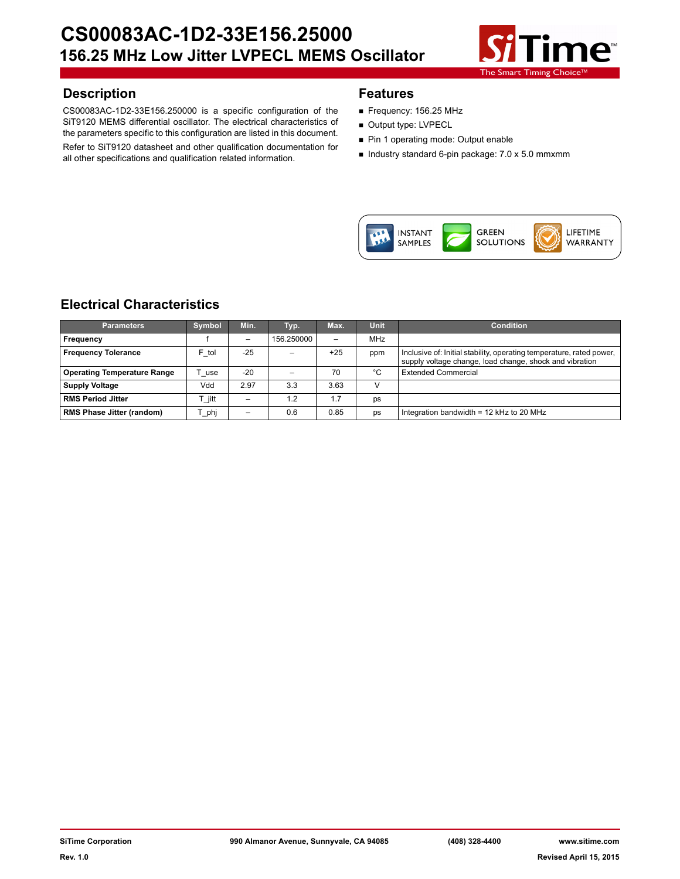

## **Description Features**

CS00083AC-1D2-33E156.250000 is a specific configuration of the SiT9120 MEMS differential oscillator. The electrical characteristics of the parameters specific to this configuration are listed in this document.

Refer to SiT9120 datasheet and other qualification documentation for all other specifications and qualification related information.

- Frequency: 156.25 MHz
- Output type: LVPECL
- Pin 1 operating mode: Output enable
- Industry standard 6-pin package:  $7.0 \times 5.0 \text{ mm}$



# **Electrical Characteristics**

| <b>Parameters</b>                  | Symbol | Min.  | Typ.       | Max.  | Unit       | <b>Condition</b>                                                                                                                |
|------------------------------------|--------|-------|------------|-------|------------|---------------------------------------------------------------------------------------------------------------------------------|
| Frequency                          |        |       | 156.250000 | -     | <b>MHz</b> |                                                                                                                                 |
| <b>Frequency Tolerance</b>         | F_tol  | $-25$ |            | $+25$ | ppm        | Inclusive of: Initial stability, operating temperature, rated power,<br>supply voltage change, load change, shock and vibration |
| <b>Operating Temperature Range</b> | use    | $-20$ |            | 70    | °C         | <b>Extended Commercial</b>                                                                                                      |
| <b>Supply Voltage</b>              | bbV    | 2.97  | 3.3        | 3.63  | v          |                                                                                                                                 |
| <b>RMS Period Jitter</b>           | ⊤ jitt | -     | 1.2        |       | ps         |                                                                                                                                 |
| <b>RMS Phase Jitter (random)</b>   | _phj   |       | 0.6        | 0.85  | ps         | Integration bandwidth = 12 kHz to 20 MHz                                                                                        |